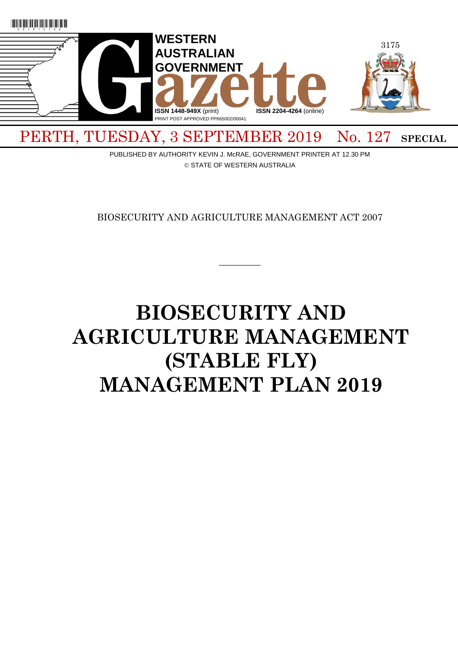

PERTH, TUESDAY, 3 SEPTEMBER 2019 No. 127 SPECIAL

PUBLISHED BY AUTHORITY KEVIN J. McRAE, GOVERNMENT PRINTER AT 12.30 PM © STATE OF WESTERN AUSTRALIA

BIOSECURITY AND AGRICULTURE MANAGEMENT ACT 2007

 $\overline{\phantom{a}}$ 

# **BIOSECURITY AND AGRICULTURE MANAGEMENT (STABLE FLY) MANAGEMENT PLAN 2019**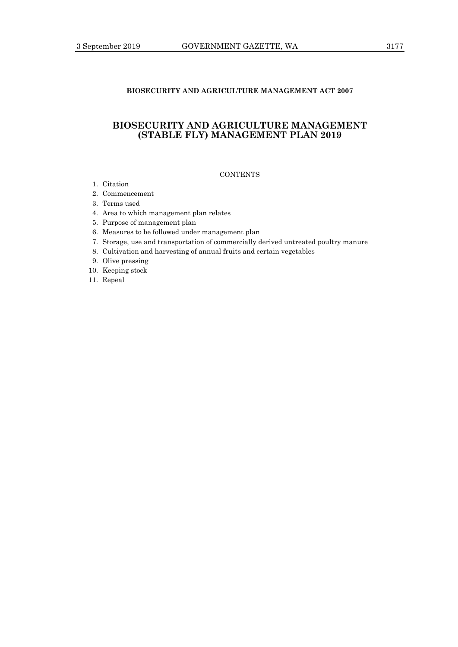# **BIOSECURITY AND AGRICULTURE MANAGEMENT ACT 2007**

# **BIOSECURITY AND AGRICULTURE MANAGEMENT (STABLE FLY) MANAGEMENT PLAN 2019**

# **CONTENTS**

- 1. Citation
- 2. Commencement
- 3. Terms used
- 4. Area to which management plan relates
- 5. Purpose of management plan
- 6. Measures to be followed under management plan
- 7. Storage, use and transportation of commercially derived untreated poultry manure
- 8. Cultivation and harvesting of annual fruits and certain vegetables
- 9. Olive pressing
- 10. Keeping stock
- 11. Repeal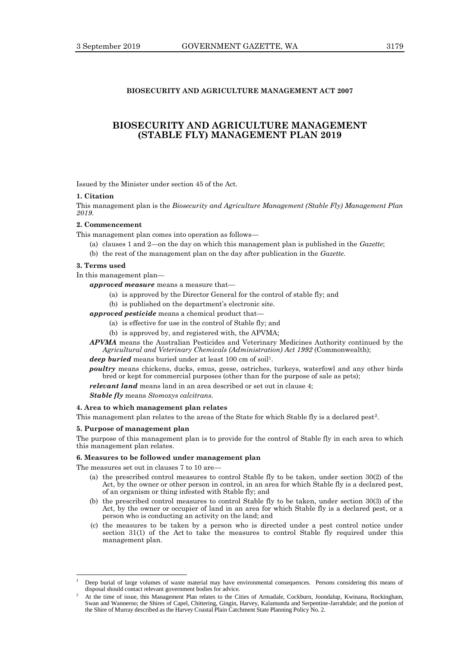# **BIOSECURITY AND AGRICULTURE MANAGEMENT ACT 2007**

# **BIOSECURITY AND AGRICULTURE MANAGEMENT (STABLE FLY) MANAGEMENT PLAN 2019**

Issued by the Minister under section 45 of the Act.

#### **1. Citation**

This management plan is the *Biosecurity and Agriculture Management (Stable Fly) Management Plan 2019*.

#### **2. Commencement**

This management plan comes into operation as follows—

- (a) clauses 1 and 2—on the day on which this management plan is published in the *Gazette*;
- (b) the rest of the management plan on the day after publication in the *Gazette*.

# **3. Terms used**

In this management plan—

*approved measure* means a measure that—

- (a) is approved by the Director General for the control of stable fly; and
- (b) is published on the department's electronic site.

*approved pesticide* means a chemical product that—

- (a) is effective for use in the control of Stable fly; and
- (b) is approved by, and registered with, the APVMA;

*APVMA* means the Australian Pesticides and Veterinary Medicines Authority continued by the *Agricultural and Veterinary Chemicals (Administration) Act 1992* (Commonwealth);

deep buried means buried under at least 100 cm of soil<sup>1</sup>.

*poultry* means chickens, ducks, emus, geese, ostriches, turkeys, waterfowl and any other birds bred or kept for commercial purposes (other than for the purpose of sale as pets);

*relevant land* means land in an area described or set out in clause 4;

*Stable fly* means *Stomoxys calcitrans*.

## **4. Area to which management plan relates**

This management plan relates to the areas of the State for which Stable fly is a declared pest<sup>2</sup>.

#### **5. Purpose of management plan**

 $\overline{a}$ 

The purpose of this management plan is to provide for the control of Stable fly in each area to which this management plan relates.

### **6. Measures to be followed under management plan**

The measures set out in clauses 7 to 10 are-

- (a) the prescribed control measures to control Stable fly to be taken, under section 30(2) of the Act, by the owner or other person in control, in an area for which Stable fly is a declared pest, of an organism or thing infested with Stable fly; and
- (b) the prescribed control measures to control Stable fly to be taken, under section 30(3) of the Act, by the owner or occupier of land in an area for which Stable fly is a declared pest, or a person who is conducting an activity on the land; and
- (c) the measures to be taken by a person who is directed under a pest control notice under section 31(1) of the Act to take the measures to control Stable fly required under this management plan.

<sup>1</sup> Deep burial of large volumes of waste material may have environmental consequences. Persons considering this means of disposal should contact relevant government bodies for advice.

<sup>2</sup> At the time of issue, this Management Plan relates to the Cities of Armadale, Cockburn, Joondalup, Kwinana, Rockingham, Swan and Wanneroo; the Shires of Capel, Chittering, Gingin, Harvey, Kalamunda and Serpentine-Jarrahdale; and the portion of the Shire of Murray described as the Harvey Coastal Plain Catchment State Planning Policy No. 2.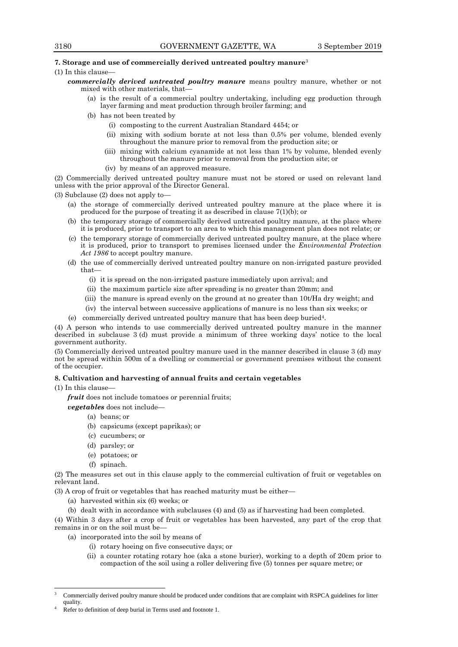#### **7. Storage and use of commercially derived untreated poultry manure**<sup>3</sup>

- $(1)$  In this clause
	- *commercially derived untreated poultry manure* means poultry manure, whether or not mixed with other materials, that
		- is the result of a commercial poultry undertaking, including egg production through layer farming and meat production through broiler farming; and
		- (b) has not been treated by
			- (i) composting to the current Australian Standard 4454; or
			- (ii) mixing with sodium borate at not less than 0.5% per volume, blended evenly throughout the manure prior to removal from the production site; or
			- (iii) mixing with calcium cyanamide at not less than 1% by volume, blended evenly throughout the manure prior to removal from the production site; or
			- (iv) by means of an approved measure.

(2) Commercially derived untreated poultry manure must not be stored or used on relevant land unless with the prior approval of the Director General.

(3) Subclause (2) does not apply to—

- (a) the storage of commercially derived untreated poultry manure at the place where it is produced for the purpose of treating it as described in clause 7(1)(b); or
- (b) the temporary storage of commercially derived untreated poultry manure, at the place where it is produced, prior to transport to an area to which this management plan does not relate; or
- (c) the temporary storage of commercially derived untreated poultry manure, at the place where it is produced, prior to transport to premises licensed under the *Environmental Protection Act 1986* to accept poultry manure.
- (d) the use of commercially derived untreated poultry manure on non-irrigated pasture provided that—
	- (i) it is spread on the non-irrigated pasture immediately upon arrival; and
	- (ii) the maximum particle size after spreading is no greater than 20mm; and
	- (iii) the manure is spread evenly on the ground at no greater than 10t/Ha dry weight; and
	- (iv) the interval between successive applications of manure is no less than six weeks; or
- (e) commercially derived untreated poultry manure that has been deep buried<sup>4</sup> .

(4) A person who intends to use commercially derived untreated poultry manure in the manner described in subclause 3 (d) must provide a minimum of three working days' notice to the local government authority.

(5) Commercially derived untreated poultry manure used in the manner described in clause 3 (d) may not be spread within 500m of a dwelling or commercial or government premises without the consent of the occupier.

#### **8. Cultivation and harvesting of annual fruits and certain vegetables**

 $(1)$  In this clause

 $\overline{a}$ 

*fruit* does not include tomatoes or perennial fruits;

*vegetables* does not include—

- (a) beans; or
- (b) capsicums (except paprikas); or
- (c) cucumbers; or
- (d) parsley; or
- (e) potatoes; or
- (f) spinach.

(2) The measures set out in this clause apply to the commercial cultivation of fruit or vegetables on relevant land.

(3) A crop of fruit or vegetables that has reached maturity must be either—

- (a) harvested within six (6) weeks; or
- (b) dealt with in accordance with subclauses (4) and (5) as if harvesting had been completed.

(4) Within 3 days after a crop of fruit or vegetables has been harvested, any part of the crop that remains in or on the soil must be—

- (a) incorporated into the soil by means of
	- (i) rotary hoeing on five consecutive days; or
	- (ii) a counter rotating rotary hoe (aka a stone burier), working to a depth of 20cm prior to compaction of the soil using a roller delivering five (5) tonnes per square metre; or

<sup>3</sup> Commercially derived poultry manure should be produced under conditions that are complaint with RSPCA guidelines for litter quality.

Refer to definition of deep burial in Terms used and footnote 1.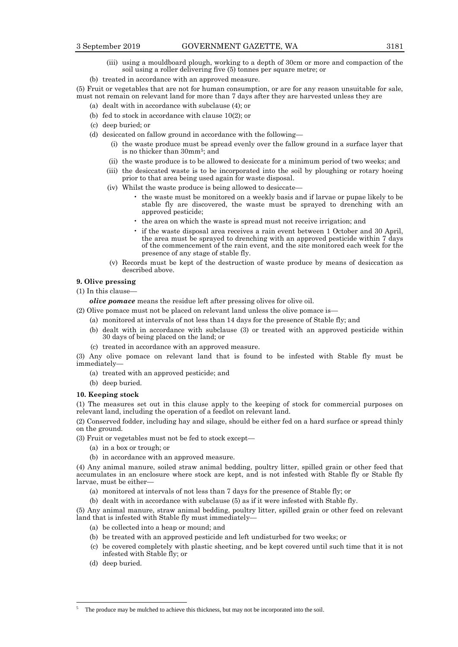- (iii) using a mouldboard plough, working to a depth of 30cm or more and compaction of the soil using a roller delivering five (5) tonnes per square metre; or
- (b) treated in accordance with an approved measure.

(5) Fruit or vegetables that are not for human consumption, or are for any reason unsuitable for sale, must not remain on relevant land for more than 7 days after they are harvested unless they are

- (a) dealt with in accordance with subclause (4); or
- (b) fed to stock in accordance with clause 10(2); or
- (c) deep buried; or
- (d) desiccated on fallow ground in accordance with the following—
	- (i) the waste produce must be spread evenly over the fallow ground in a surface layer that is no thicker than 30mm<sup>5</sup> ; and
	- (ii) the waste produce is to be allowed to desiccate for a minimum period of two weeks; and
	- (iii) the desiccated waste is to be incorporated into the soil by ploughing or rotary hoeing prior to that area being used again for waste disposal.
	- (iv) Whilst the waste produce is being allowed to desiccate—
		- the waste must be monitored on a weekly basis and if larvae or pupae likely to be stable fly are discovered, the waste must be sprayed to drenching with an approved pesticide;
		- the area on which the waste is spread must not receive irrigation; and
		- if the waste disposal area receives a rain event between 1 October and 30 April, the area must be sprayed to drenching with an approved pesticide within 7 days of the commencement of the rain event, and the site monitored each week for the presence of any stage of stable fly.
	- (v) Records must be kept of the destruction of waste produce by means of desiccation as described above.

#### **9. Olive pressing**

(1) In this clause—

*olive pomace* means the residue left after pressing olives for olive oil.

(2) Olive pomace must not be placed on relevant land unless the olive pomace is—

- (a) monitored at intervals of not less than 14 days for the presence of Stable fly; and
- (b) dealt with in accordance with subclause (3) or treated with an approved pesticide within 30 days of being placed on the land; or
- (c) treated in accordance with an approved measure.

(3) Any olive pomace on relevant land that is found to be infested with Stable fly must be immediately—

- (a) treated with an approved pesticide; and
- (b) deep buried.

#### **10. Keeping stock**

(1) The measures set out in this clause apply to the keeping of stock for commercial purposes on relevant land, including the operation of a feedlot on relevant land.

(2) Conserved fodder, including hay and silage, should be either fed on a hard surface or spread thinly on the ground.

(3) Fruit or vegetables must not be fed to stock except—

- (a) in a box or trough; or
- (b) in accordance with an approved measure.

(4) Any animal manure, soiled straw animal bedding, poultry litter, spilled grain or other feed that accumulates in an enclosure where stock are kept, and is not infested with Stable fly or Stable fly larvae, must be either—

(a) monitored at intervals of not less than 7 days for the presence of Stable fly; or

(b) dealt with in accordance with subclause (5) as if it were infested with Stable fly.

(5) Any animal manure, straw animal bedding, poultry litter, spilled grain or other feed on relevant land that is infested with Stable fly must immediately—

- (a) be collected into a heap or mound; and
- (b) be treated with an approved pesticide and left undisturbed for two weeks; or
- (c) be covered completely with plastic sheeting, and be kept covered until such time that it is not infested with Stable fly; or
- (d) deep buried.

 $\overline{a}$ 

The produce may be mulched to achieve this thickness, but may not be incorporated into the soil.